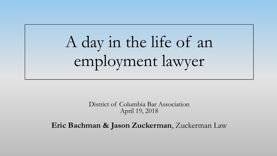## A day in the life of an employment lawyer

District of Columbia Bar Association April 19, 2018

**Eric Bachman & Jason Zuckerman**, Zuckerman Law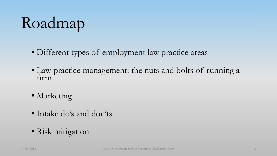## Roadmap

- Different types of employment law practice areas
- Law practice management: the nuts and bolts of running a firm
- Marketing
- Intake do's and don'ts
- Risk mitigation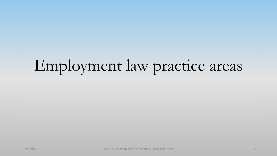### Employment law practice areas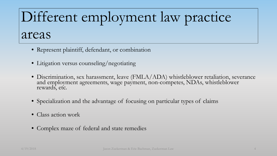### Different employment law practice areas

- Represent plaintiff, defendant, or combination
- Litigation versus counseling/negotiating
- Discrimination, sex harassment, leave (FMLA/ADA) whistleblower retaliation, severance and employment agreements, wage payment, non-competes, NDAs, whistleblower rewards, etc.
- Specialization and the advantage of focusing on particular types of claims
- Class action work
- Complex maze of federal and state remedies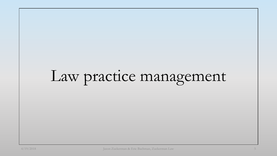## Law practice management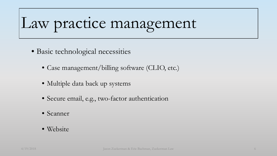## Law practice management

- Basic technological necessities
	- Case management/billing software (CLIO, etc.)
	- Multiple data back up systems
	- Secure email, e.g., two-factor authentication
	- Scanner
	- Website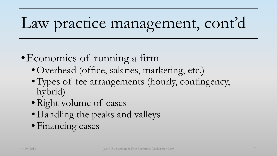## Law practice management, cont'd

#### •Economics of running a firm

- •Overhead (office, salaries, marketing, etc.)
- Types of fee arrangements (hourly, contingency, hybrid)
- Right volume of cases
- Handling the peaks and valleys
- Financing cases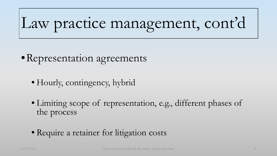## Law practice management, cont'd

#### • Representation agreements

- Hourly, contingency, hybrid
- Limiting scope of representation, e.g., different phases of the process
- Require a retainer for litigation costs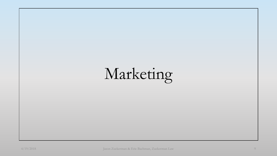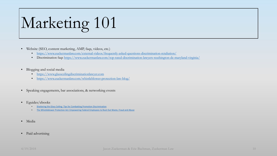## Marketing 101

- Website (SEO, content marketing, AMP, faqs, videos, etc.)
	- <https://www.zuckermanlaw.com/external-videos/frequently-asked-questions-discrimination-retaliation/>
	- Discrimination faqs <https://www.zuckermanlaw.com/top-rated-discrimination-lawyers-washington-dc-maryland-virginia/>
- Blogging and social media
	- [https://www.glassceilingdiscriminationlawyer.com](https://www.glassceilingdiscriminationlawyer.com/)
	- <https://www.zuckermanlaw.com/whistleblower-protection-law-blog/>
- Speaking engagements, bar associations, & networking events
- Eguides/ebooks
	- **[Shattering the Glass Ceiling: Tips for Combatting Promotion Discrimination](https://www.zuckermanlaw.com/wp-content/uploads/2018/02/Shattering-the-Glass-Ceiling-ebook-Feb-2018.pdf)**
	- [The Whistleblower Protection Act: Empowering Federal Employees to Root Out Waste, Fraud and Abuse](https://www.zuckermanlaw.com/wp-content/uploads/Guide-to-Whisteblower-Protection-Act.pdf)
- Media
- Paid advertising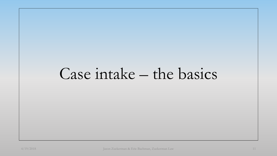#### Case intake – the basics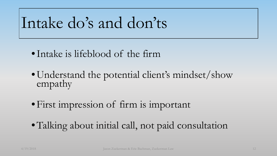#### Intake do's and don'ts

- •Intake is lifeblood of the firm
- Understand the potential client's mindset/show empathy
- •First impression of firm is important
- •Talking about initial call, not paid consultation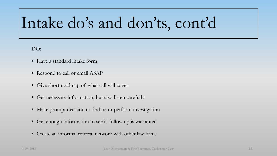### Intake do's and don'ts, cont'd

DO:

- Have a standard intake form
- Respond to call or email ASAP
- Give short roadmap of what call will cover
- Get necessary information, but also listen carefully
- Make prompt decision to decline or perform investigation
- Get enough information to see if follow up is warranted
- Create an informal referral network with other law firms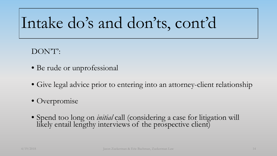#### Intake do's and don'ts, cont'd

#### DON'T':

- Be rude or unprofessional
- Give legal advice prior to entering into an attorney-client relationship
- Overpromise
- Spend too long on *initial* call (considering a case for litigation will likely entail lengthy interviews of the prospective client)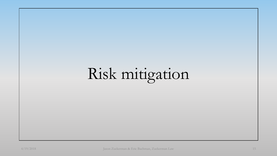## Risk mitigation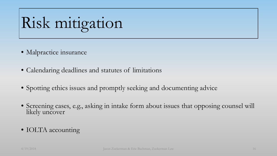## Risk mitigation

- Malpractice insurance
- Calendaring deadlines and statutes of limitations
- Spotting ethics issues and promptly seeking and documenting advice
- Screening cases, e.g., asking in intake form about issues that opposing counsel will likely uncover
- IOLTA accounting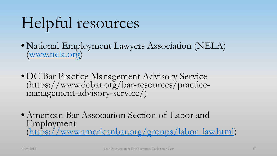## Helpful resources

- National Employment Lawyers Association (NELA) [\(www.nela.org\)](http://www.nela.org/)
- DC Bar Practice Management Advisory Service (https://www.dcbar.org/bar-resources/practice- management-advisory-service/)
- American Bar Association Section of Labor and Employment [\(https://www.americanbar.org/groups/labor\\_law.html](https://www.americanbar.org/groups/labor_law.html))